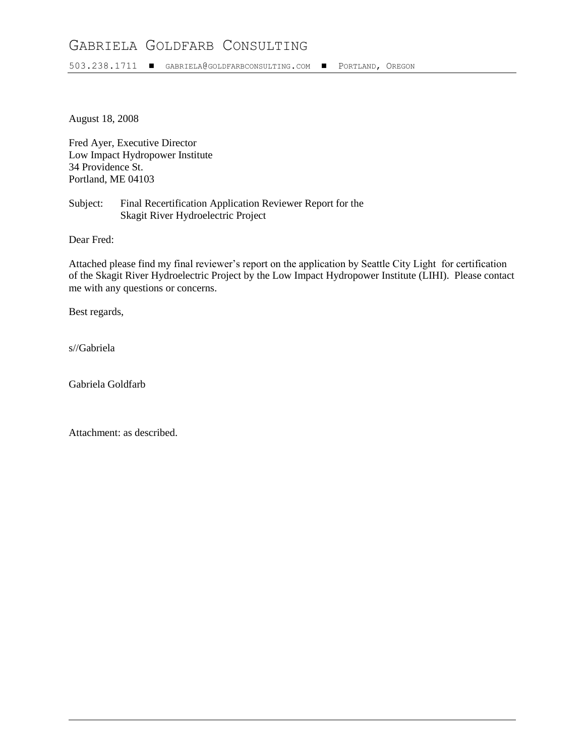# GABRIELA GOLDFARB CONSULTING

503.238.1711 GABRIELA@[GOLDFARBCONSULTING](mailto:gabriela.goldfarb@attbi.com).COM PORTLAND, OREGON

August 18, 2008

Fred Ayer, Executive Director Low Impact Hydropower Institute 34 Providence St. Portland, ME 04103

Subject: Final Recertification Application Reviewer Report for the Skagit River Hydroelectric Project

Dear Fred:

Attached please find my final reviewer's report on the application by Seattle City Light for certification of the Skagit River Hydroelectric Project by the Low Impact Hydropower Institute (LIHI). Please contact me with any questions or concerns.

Best regards,

s//Gabriela

Gabriela Goldfarb

Attachment: as described.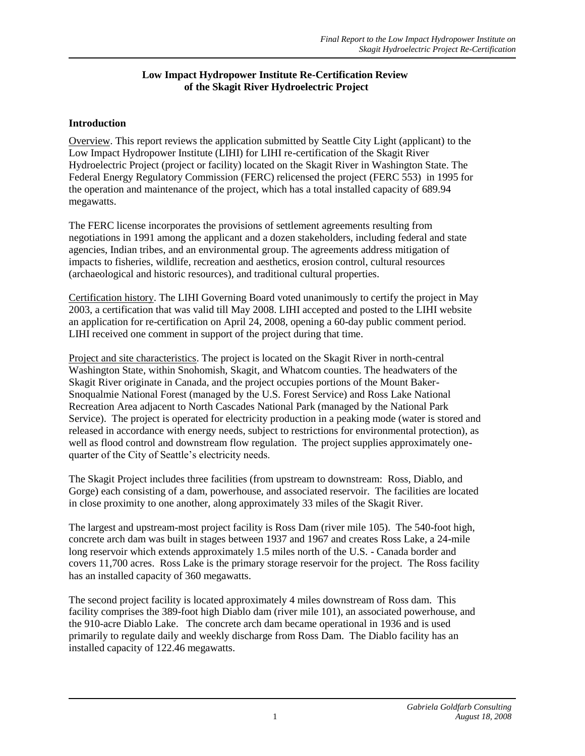### **Low Impact Hydropower Institute Re-Certification Review of the Skagit River Hydroelectric Project**

### **Introduction**

Overview. This report reviews the application submitted by Seattle City Light (applicant) to the Low Impact Hydropower Institute (LIHI) for LIHI re-certification of the Skagit River Hydroelectric Project (project or facility) located on the Skagit River in Washington State. The Federal Energy Regulatory Commission (FERC) relicensed the project (FERC 553) in 1995 for the operation and maintenance of the project, which has a total installed capacity of 689.94 megawatts.

The FERC license incorporates the provisions of settlement agreements resulting from negotiations in 1991 among the applicant and a dozen stakeholders, including federal and state agencies, Indian tribes, and an environmental group. The agreements address mitigation of impacts to fisheries, wildlife, recreation and aesthetics, erosion control, cultural resources (archaeological and historic resources), and traditional cultural properties.

Certification history. The LIHI Governing Board voted unanimously to certify the project in May 2003, a certification that was valid till May 2008. LIHI accepted and posted to the LIHI website an application for re-certification on April 24, 2008, opening a 60-day public comment period. LIHI received one comment in support of the project during that time.

Project and site characteristics. The project is located on the Skagit River in north-central Washington State, within Snohomish, Skagit, and Whatcom counties. The headwaters of the Skagit River originate in Canada, and the project occupies portions of the Mount Baker-Snoqualmie National Forest (managed by the U.S. Forest Service) and Ross Lake National Recreation Area adjacent to North Cascades National Park (managed by the National Park Service). The project is operated for electricity production in a peaking mode (water is stored and released in accordance with energy needs, subject to restrictions for environmental protection), as well as flood control and downstream flow regulation. The project supplies approximately onequarter of the City of Seattle's electricity needs.

The Skagit Project includes three facilities (from upstream to downstream: Ross, Diablo, and Gorge) each consisting of a dam, powerhouse, and associated reservoir. The facilities are located in close proximity to one another, along approximately 33 miles of the Skagit River.

The largest and upstream-most project facility is Ross Dam (river mile 105). The 540-foot high, concrete arch dam was built in stages between 1937 and 1967 and creates Ross Lake, a 24-mile long reservoir which extends approximately 1.5 miles north of the U.S. - Canada border and covers 11,700 acres. Ross Lake is the primary storage reservoir for the project. The Ross facility has an installed capacity of 360 megawatts.

The second project facility is located approximately 4 miles downstream of Ross dam. This facility comprises the 389-foot high Diablo dam (river mile 101), an associated powerhouse, and the 910-acre Diablo Lake. The concrete arch dam became operational in 1936 and is used primarily to regulate daily and weekly discharge from Ross Dam. The Diablo facility has an installed capacity of 122.46 megawatts.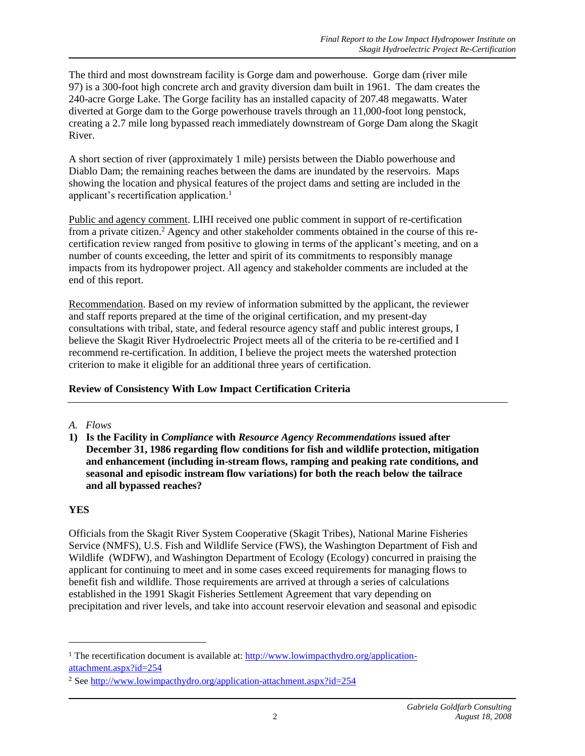The third and most downstream facility is Gorge dam and powerhouse. Gorge dam (river mile 97) is a 300-foot high concrete arch and gravity diversion dam built in 1961. The dam creates the 240-acre Gorge Lake. The Gorge facility has an installed capacity of 207.48 megawatts. Water diverted at Gorge dam to the Gorge powerhouse travels through an 11,000-foot long penstock, creating a 2.7 mile long bypassed reach immediately downstream of Gorge Dam along the Skagit River.

A short section of river (approximately 1 mile) persists between the Diablo powerhouse and Diablo Dam; the remaining reaches between the dams are inundated by the reservoirs. Maps showing the location and physical features of the project dams and setting are included in the applicant's recertification application.<sup>1</sup>

Public and agency comment. LIHI received one public comment in support of re-certification from a private citizen.<sup>2</sup> Agency and other stakeholder comments obtained in the course of this recertification review ranged from positive to glowing in terms of the applicant's meeting, and on a number of counts exceeding, the letter and spirit of its commitments to responsibly manage impacts from its hydropower project. All agency and stakeholder comments are included at the end of this report.

Recommendation. Based on my review of information submitted by the applicant, the reviewer and staff reports prepared at the time of the original certification, and my present-day consultations with tribal, state, and federal resource agency staff and public interest groups, I believe the Skagit River Hydroelectric Project meets all of the criteria to be re-certified and I recommend re-certification. In addition, I believe the project meets the watershed protection criterion to make it eligible for an additional three years of certification.

## **Review of Consistency With Low Impact Certification Criteria**

### *A. Flows*

**1) Is the Facility in** *Compliance* **with** *Resource Agency Recommendations* **issued after December 31, 1986 regarding flow conditions for fish and wildlife protection, mitigation and enhancement (including in-stream flows, ramping and peaking rate conditions, and seasonal and episodic instream flow variations) for both the reach below the tailrace and all bypassed reaches?**

## **YES**

1

Officials from the Skagit River System Cooperative (Skagit Tribes), National Marine Fisheries Service (NMFS), U.S. Fish and Wildlife Service (FWS), the Washington Department of Fish and Wildlife (WDFW), and Washington Department of Ecology (Ecology) concurred in praising the applicant for continuing to meet and in some cases exceed requirements for managing flows to benefit fish and wildlife. Those requirements are arrived at through a series of calculations established in the 1991 Skagit Fisheries Settlement Agreement that vary depending on precipitation and river levels, and take into account reservoir elevation and seasonal and episodic

<sup>&</sup>lt;sup>1</sup> The recertification document is available at: [http://www.lowimpacthydro.org/application](http://www.lowimpacthydro.org/application-attachment.aspx?id=254)[attachment.aspx?id=254](http://www.lowimpacthydro.org/application-attachment.aspx?id=254)

<sup>2</sup> See<http://www.lowimpacthydro.org/application-attachment.aspx?id=254>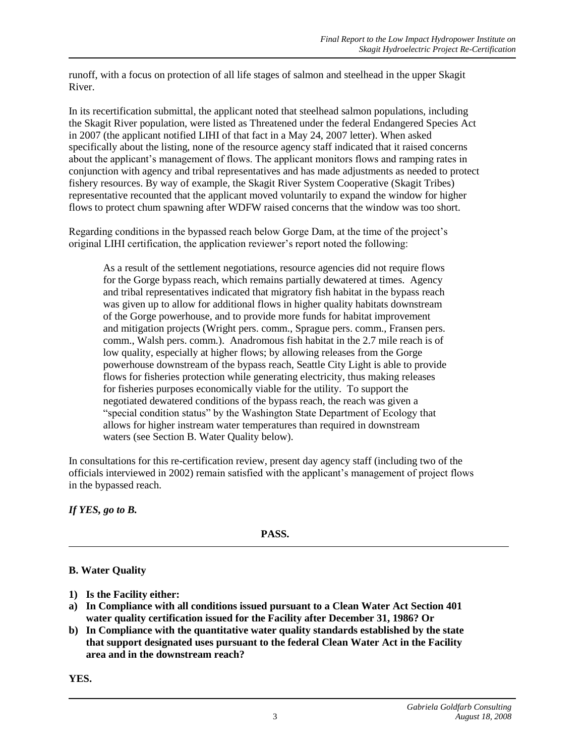runoff, with a focus on protection of all life stages of salmon and steelhead in the upper Skagit River.

In its recertification submittal, the applicant noted that steelhead salmon populations, including the Skagit River population, were listed as Threatened under the federal Endangered Species Act in 2007 (the applicant notified LIHI of that fact in a May 24, 2007 letter). When asked specifically about the listing, none of the resource agency staff indicated that it raised concerns about the applicant's management of flows. The applicant monitors flows and ramping rates in conjunction with agency and tribal representatives and has made adjustments as needed to protect fishery resources. By way of example, the Skagit River System Cooperative (Skagit Tribes) representative recounted that the applicant moved voluntarily to expand the window for higher flows to protect chum spawning after WDFW raised concerns that the window was too short.

Regarding conditions in the bypassed reach below Gorge Dam, at the time of the project's original LIHI certification, the application reviewer's report noted the following:

As a result of the settlement negotiations, resource agencies did not require flows for the Gorge bypass reach, which remains partially dewatered at times. Agency and tribal representatives indicated that migratory fish habitat in the bypass reach was given up to allow for additional flows in higher quality habitats downstream of the Gorge powerhouse, and to provide more funds for habitat improvement and mitigation projects (Wright pers. comm., Sprague pers. comm., Fransen pers. comm., Walsh pers. comm.). Anadromous fish habitat in the 2.7 mile reach is of low quality, especially at higher flows; by allowing releases from the Gorge powerhouse downstream of the bypass reach, Seattle City Light is able to provide flows for fisheries protection while generating electricity, thus making releases for fisheries purposes economically viable for the utility. To support the negotiated dewatered conditions of the bypass reach, the reach was given a "special condition status" by the Washington State Department of Ecology that allows for higher instream water temperatures than required in downstream waters (see Section B. Water Quality below).

In consultations for this re-certification review, present day agency staff (including two of the officials interviewed in 2002) remain satisfied with the applicant's management of project flows in the bypassed reach.

*If YES, go to B.*

**PASS.**

## **B. Water Quality**

- **1) Is the Facility either:**
- **a) In Compliance with all conditions issued pursuant to a Clean Water Act Section 401 water quality certification issued for the Facility after December 31, 1986? Or**
- **b) In Compliance with the quantitative water quality standards established by the state that support designated uses pursuant to the federal Clean Water Act in the Facility area and in the downstream reach?**

**YES.**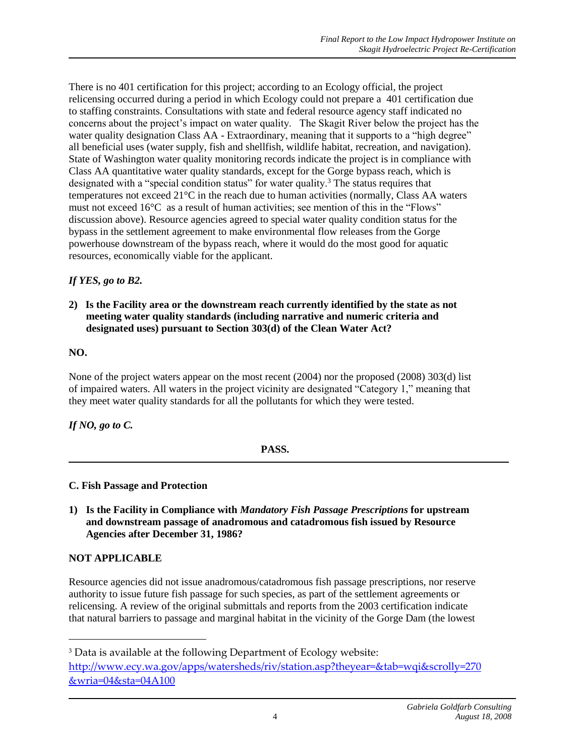There is no 401 certification for this project; according to an Ecology official, the project relicensing occurred during a period in which Ecology could not prepare a 401 certification due to staffing constraints. Consultations with state and federal resource agency staff indicated no concerns about the project's impact on water quality. The Skagit River below the project has the water quality designation Class AA - Extraordinary, meaning that it supports to a "high degree" all beneficial uses (water supply, fish and shellfish, wildlife habitat, recreation, and navigation). State of Washington water quality monitoring records indicate the project is in compliance with Class AA quantitative water quality standards, except for the Gorge bypass reach, which is designated with a "special condition status" for water quality.<sup>3</sup> The status requires that temperatures not exceed 21°C in the reach due to human activities (normally, Class AA waters must not exceed 16°C as a result of human activities; see mention of this in the "Flows" discussion above). Resource agencies agreed to special water quality condition status for the bypass in the settlement agreement to make environmental flow releases from the Gorge powerhouse downstream of the bypass reach, where it would do the most good for aquatic resources, economically viable for the applicant.

## *If YES, go to B2.*

### **2) Is the Facility area or the downstream reach currently identified by the state as not meeting water quality standards (including narrative and numeric criteria and designated uses) pursuant to Section 303(d) of the Clean Water Act?**

### **NO.**

None of the project waters appear on the most recent (2004) nor the proposed (2008) 303(d) list of impaired waters. All waters in the project vicinity are designated "Category 1," meaning that they meet water quality standards for all the pollutants for which they were tested.

## *If NO, go to C.*

### **PASS.**

### **C. Fish Passage and Protection**

**1) Is the Facility in Compliance with** *Mandatory Fish Passage Prescriptions* **for upstream and downstream passage of anadromous and catadromous fish issued by Resource Agencies after December 31, 1986?**

### **NOT APPLICABLE**

1

Resource agencies did not issue anadromous/catadromous fish passage prescriptions, nor reserve authority to issue future fish passage for such species, as part of the settlement agreements or relicensing. A review of the original submittals and reports from the 2003 certification indicate that natural barriers to passage and marginal habitat in the vicinity of the Gorge Dam (the lowest

<sup>3</sup> Data is available at the following Department of Ecology website: [http://www.ecy.wa.gov/apps/watersheds/riv/station.asp?theyear=&tab=wqi&scrolly=270](http://www.ecy.wa.gov/apps/watersheds/riv/station.asp?theyear=&tab=wqi&scrolly=270&wria=04&sta=04A100) [&wria=04&sta=04A100](http://www.ecy.wa.gov/apps/watersheds/riv/station.asp?theyear=&tab=wqi&scrolly=270&wria=04&sta=04A100)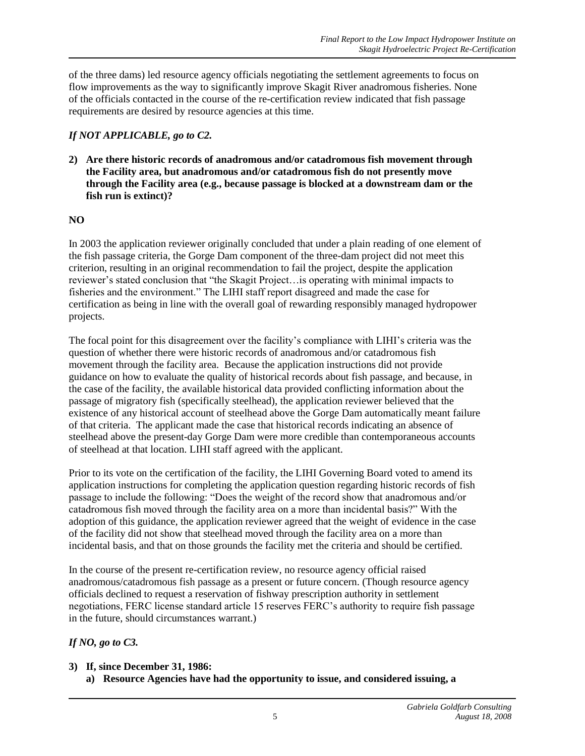of the three dams) led resource agency officials negotiating the settlement agreements to focus on flow improvements as the way to significantly improve Skagit River anadromous fisheries. None of the officials contacted in the course of the re-certification review indicated that fish passage requirements are desired by resource agencies at this time.

## *If NOT APPLICABLE, go to C2.*

**2) Are there historic records of anadromous and/or catadromous fish movement through the Facility area, but anadromous and/or catadromous fish do not presently move through the Facility area (e.g., because passage is blocked at a downstream dam or the fish run is extinct)?**

### **NO**

In 2003 the application reviewer originally concluded that under a plain reading of one element of the fish passage criteria, the Gorge Dam component of the three-dam project did not meet this criterion, resulting in an original recommendation to fail the project, despite the application reviewer's stated conclusion that "the Skagit Project…is operating with minimal impacts to fisheries and the environment." The LIHI staff report disagreed and made the case for certification as being in line with the overall goal of rewarding responsibly managed hydropower projects.

The focal point for this disagreement over the facility's compliance with LIHI's criteria was the question of whether there were historic records of anadromous and/or catadromous fish movement through the facility area. Because the application instructions did not provide guidance on how to evaluate the quality of historical records about fish passage, and because, in the case of the facility, the available historical data provided conflicting information about the passage of migratory fish (specifically steelhead), the application reviewer believed that the existence of any historical account of steelhead above the Gorge Dam automatically meant failure of that criteria. The applicant made the case that historical records indicating an absence of steelhead above the present-day Gorge Dam were more credible than contemporaneous accounts of steelhead at that location. LIHI staff agreed with the applicant.

Prior to its vote on the certification of the facility, the LIHI Governing Board voted to amend its application instructions for completing the application question regarding historic records of fish passage to include the following: "Does the weight of the record show that anadromous and/or catadromous fish moved through the facility area on a more than incidental basis?" With the adoption of this guidance, the application reviewer agreed that the weight of evidence in the case of the facility did not show that steelhead moved through the facility area on a more than incidental basis, and that on those grounds the facility met the criteria and should be certified.

In the course of the present re-certification review, no resource agency official raised anadromous/catadromous fish passage as a present or future concern. (Though resource agency officials declined to request a reservation of fishway prescription authority in settlement negotiations, FERC license standard article 15 reserves FERC's authority to require fish passage in the future, should circumstances warrant.)

## *If NO, go to C3.*

- **3) If, since December 31, 1986:** 
	- **a) Resource Agencies have had the opportunity to issue, and considered issuing, a**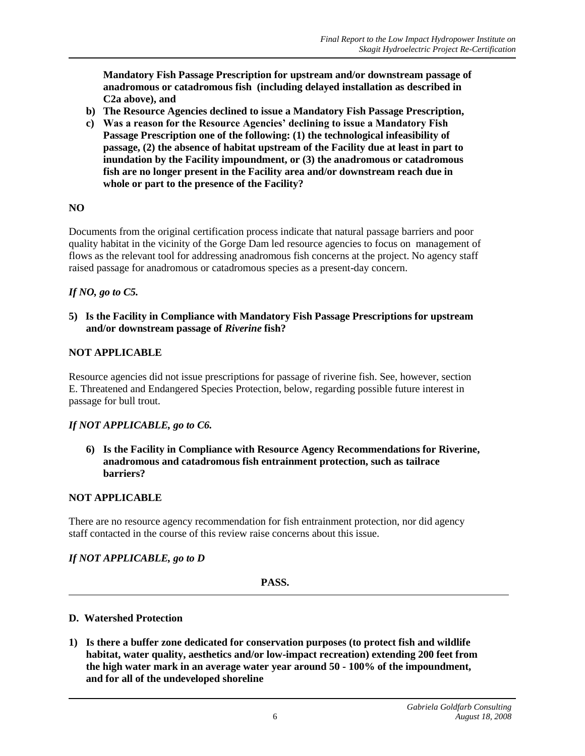**Mandatory Fish Passage Prescription for upstream and/or downstream passage of anadromous or catadromous fish (including delayed installation as described in C2a above), and**

- **b) The Resource Agencies declined to issue a Mandatory Fish Passage Prescription,**
- **c) Was a reason for the Resource Agencies' declining to issue a Mandatory Fish Passage Prescription one of the following: (1) the technological infeasibility of passage, (2) the absence of habitat upstream of the Facility due at least in part to inundation by the Facility impoundment, or (3) the anadromous or catadromous fish are no longer present in the Facility area and/or downstream reach due in whole or part to the presence of the Facility?**

### **NO**

Documents from the original certification process indicate that natural passage barriers and poor quality habitat in the vicinity of the Gorge Dam led resource agencies to focus on management of flows as the relevant tool for addressing anadromous fish concerns at the project. No agency staff raised passage for anadromous or catadromous species as a present-day concern.

### *If NO, go to C5.*

**5) Is the Facility in Compliance with Mandatory Fish Passage Prescriptions for upstream and/or downstream passage of** *Riverine* **fish?**

### **NOT APPLICABLE**

Resource agencies did not issue prescriptions for passage of riverine fish. See, however, section E. Threatened and Endangered Species Protection, below, regarding possible future interest in passage for bull trout.

### *If NOT APPLICABLE, go to C6.*

**6) Is the Facility in Compliance with Resource Agency Recommendations for Riverine, anadromous and catadromous fish entrainment protection, such as tailrace barriers?**

### **NOT APPLICABLE**

There are no resource agency recommendation for fish entrainment protection, nor did agency staff contacted in the course of this review raise concerns about this issue.

### *If NOT APPLICABLE, go to D*

**PASS.**

#### **D. Watershed Protection**

**1) Is there a buffer zone dedicated for conservation purposes (to protect fish and wildlife habitat, water quality, aesthetics and/or low-impact recreation) extending 200 feet from the high water mark in an average water year around 50 - 100% of the impoundment, and for all of the undeveloped shoreline**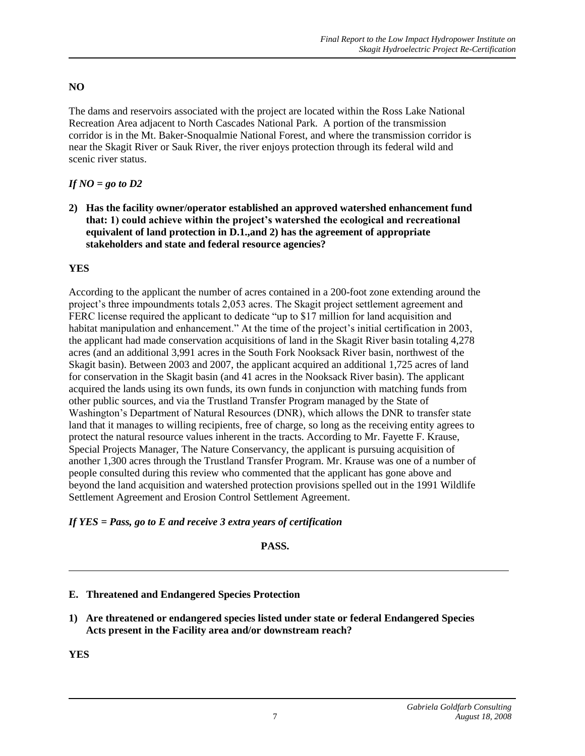## **NO**

The dams and reservoirs associated with the project are located within the Ross Lake National Recreation Area adjacent to North Cascades National Park. A portion of the transmission corridor is in the Mt. Baker-Snoqualmie National Forest, and where the transmission corridor is near the Skagit River or Sauk River, the river enjoys protection through its federal wild and scenic river status.

## *If NO = go to D2*

**2) Has the facility owner/operator established an approved watershed enhancement fund that: 1) could achieve within the project's watershed the ecological and recreational equivalent of land protection in D.1.,and 2) has the agreement of appropriate stakeholders and state and federal resource agencies?** 

### **YES**

According to the applicant the number of acres contained in a 200-foot zone extending around the project's three impoundments totals 2,053 acres. The Skagit project settlement agreement and FERC license required the applicant to dedicate "up to \$17 million for land acquisition and habitat manipulation and enhancement." At the time of the project's initial certification in 2003, the applicant had made conservation acquisitions of land in the Skagit River basin totaling 4,278 acres (and an additional 3,991 acres in the South Fork Nooksack River basin, northwest of the Skagit basin). Between 2003 and 2007, the applicant acquired an additional 1,725 acres of land for conservation in the Skagit basin (and 41 acres in the Nooksack River basin). The applicant acquired the lands using its own funds, its own funds in conjunction with matching funds from other public sources, and via the Trustland Transfer Program managed by the State of Washington's Department of Natural Resources (DNR), which allows the DNR to transfer state land that it manages to willing recipients, free of charge, so long as the receiving entity agrees to protect the natural resource values inherent in the tracts. According to Mr. Fayette F. Krause, Special Projects Manager, The Nature Conservancy, the applicant is pursuing acquisition of another 1,300 acres through the Trustland Transfer Program. Mr. Krause was one of a number of people consulted during this review who commented that the applicant has gone above and beyond the land acquisition and watershed protection provisions spelled out in the 1991 Wildlife Settlement Agreement and Erosion Control Settlement Agreement.

## *If YES = Pass, go to E and receive 3 extra years of certification*

### **PASS.**

## **E. Threatened and Endangered Species Protection**

**1) Are threatened or endangered species listed under state or federal Endangered Species Acts present in the Facility area and/or downstream reach?**

**YES**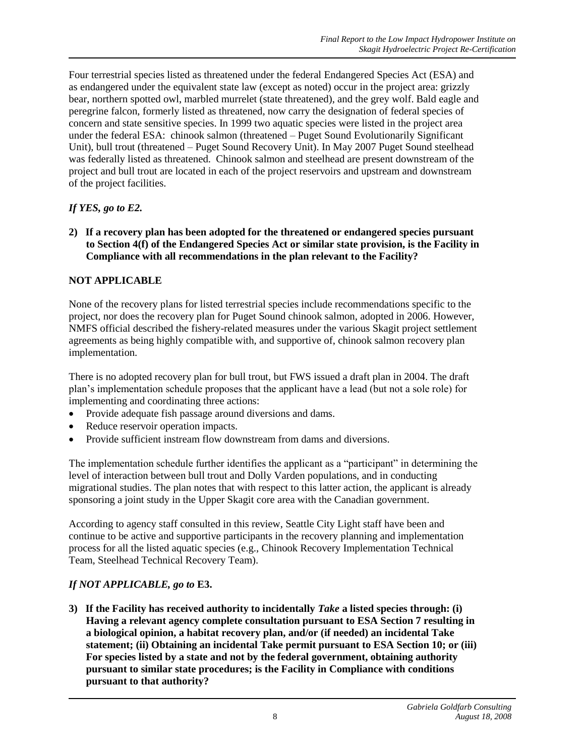Four terrestrial species listed as threatened under the federal Endangered Species Act (ESA) and as endangered under the equivalent state law (except as noted) occur in the project area: grizzly bear, northern spotted owl, marbled murrelet (state threatened), and the grey wolf. Bald eagle and peregrine falcon, formerly listed as threatened, now carry the designation of federal species of concern and state sensitive species. In 1999 two aquatic species were listed in the project area under the federal ESA: chinook salmon (threatened – Puget Sound Evolutionarily Significant Unit), bull trout (threatened – Puget Sound Recovery Unit). In May 2007 Puget Sound steelhead was federally listed as threatened. Chinook salmon and steelhead are present downstream of the project and bull trout are located in each of the project reservoirs and upstream and downstream of the project facilities.

## *If YES, go to E2.*

**2) If a recovery plan has been adopted for the threatened or endangered species pursuant to Section 4(f) of the Endangered Species Act or similar state provision, is the Facility in Compliance with all recommendations in the plan relevant to the Facility?** 

### **NOT APPLICABLE**

None of the recovery plans for listed terrestrial species include recommendations specific to the project, nor does the recovery plan for Puget Sound chinook salmon, adopted in 2006. However, NMFS official described the fishery-related measures under the various Skagit project settlement agreements as being highly compatible with, and supportive of, chinook salmon recovery plan implementation.

There is no adopted recovery plan for bull trout, but FWS issued a draft plan in 2004. The draft plan's implementation schedule proposes that the applicant have a lead (but not a sole role) for implementing and coordinating three actions:

- Provide adequate fish passage around diversions and dams.
- Reduce reservoir operation impacts.
- Provide sufficient instream flow downstream from dams and diversions.

The implementation schedule further identifies the applicant as a "participant" in determining the level of interaction between bull trout and Dolly Varden populations, and in conducting migrational studies. The plan notes that with respect to this latter action, the applicant is already sponsoring a joint study in the Upper Skagit core area with the Canadian government.

According to agency staff consulted in this review, Seattle City Light staff have been and continue to be active and supportive participants in the recovery planning and implementation process for all the listed aquatic species (e.g., Chinook Recovery Implementation Technical Team, Steelhead Technical Recovery Team).

## *If NOT APPLICABLE, go to* **E3.**

**3) If the Facility has received authority to incidentally** *Take* **a listed species through: (i) Having a relevant agency complete consultation pursuant to ESA Section 7 resulting in a biological opinion, a habitat recovery plan, and/or (if needed) an incidental Take statement; (ii) Obtaining an incidental Take permit pursuant to ESA Section 10; or (iii) For species listed by a state and not by the federal government, obtaining authority pursuant to similar state procedures; is the Facility in Compliance with conditions pursuant to that authority?**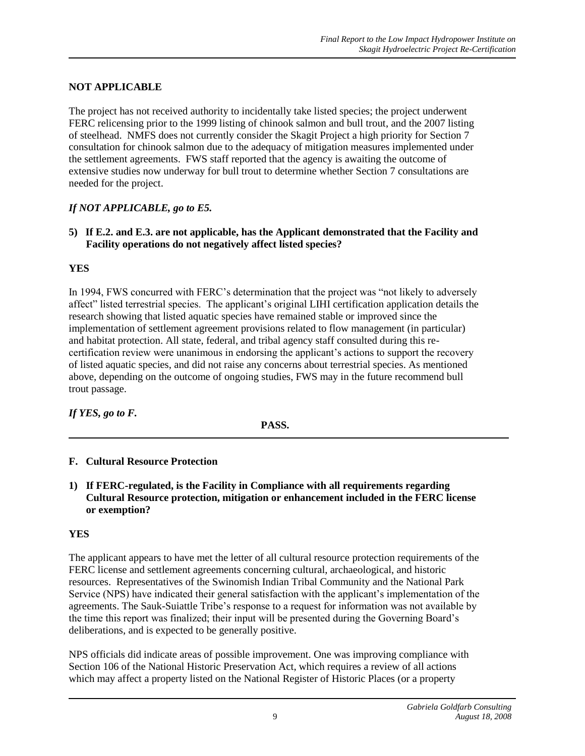## **NOT APPLICABLE**

The project has not received authority to incidentally take listed species; the project underwent FERC relicensing prior to the 1999 listing of chinook salmon and bull trout, and the 2007 listing of steelhead. NMFS does not currently consider the Skagit Project a high priority for Section 7 consultation for chinook salmon due to the adequacy of mitigation measures implemented under the settlement agreements. FWS staff reported that the agency is awaiting the outcome of extensive studies now underway for bull trout to determine whether Section 7 consultations are needed for the project.

## *If NOT APPLICABLE, go to E5.*

**5) If E.2. and E.3. are not applicable, has the Applicant demonstrated that the Facility and Facility operations do not negatively affect listed species?**

### **YES**

In 1994, FWS concurred with FERC's determination that the project was "not likely to adversely affect" listed terrestrial species. The applicant's original LIHI certification application details the research showing that listed aquatic species have remained stable or improved since the implementation of settlement agreement provisions related to flow management (in particular) and habitat protection. All state, federal, and tribal agency staff consulted during this recertification review were unanimous in endorsing the applicant's actions to support the recovery of listed aquatic species, and did not raise any concerns about terrestrial species. As mentioned above, depending on the outcome of ongoing studies, FWS may in the future recommend bull trout passage.

*If YES, go to F.*

**PASS.**

### **F. Cultural Resource Protection**

**1) If FERC-regulated, is the Facility in Compliance with all requirements regarding Cultural Resource protection, mitigation or enhancement included in the FERC license or exemption?**

## **YES**

The applicant appears to have met the letter of all cultural resource protection requirements of the FERC license and settlement agreements concerning cultural, archaeological, and historic resources. Representatives of the Swinomish Indian Tribal Community and the National Park Service (NPS) have indicated their general satisfaction with the applicant's implementation of the agreements. The Sauk-Suiattle Tribe's response to a request for information was not available by the time this report was finalized; their input will be presented during the Governing Board's deliberations, and is expected to be generally positive.

NPS officials did indicate areas of possible improvement. One was improving compliance with Section 106 of the National Historic Preservation Act, which requires a review of all actions which may affect a property listed on the National Register of Historic Places (or a property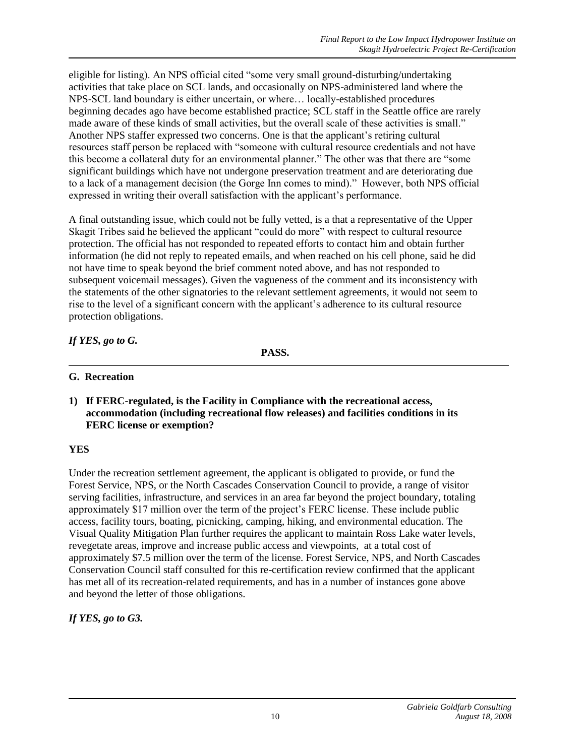eligible for listing). An NPS official cited "some very small ground-disturbing/undertaking activities that take place on SCL lands, and occasionally on NPS-administered land where the NPS-SCL land boundary is either uncertain, or where… locally-established procedures beginning decades ago have become established practice; SCL staff in the Seattle office are rarely made aware of these kinds of small activities, but the overall scale of these activities is small." Another NPS staffer expressed two concerns. One is that the applicant's retiring cultural resources staff person be replaced with "someone with cultural resource credentials and not have this become a collateral duty for an environmental planner." The other was that there are "some significant buildings which have not undergone preservation treatment and are deteriorating due to a lack of a management decision (the Gorge Inn comes to mind)." However, both NPS official expressed in writing their overall satisfaction with the applicant's performance.

A final outstanding issue, which could not be fully vetted, is a that a representative of the Upper Skagit Tribes said he believed the applicant "could do more" with respect to cultural resource protection. The official has not responded to repeated efforts to contact him and obtain further information (he did not reply to repeated emails, and when reached on his cell phone, said he did not have time to speak beyond the brief comment noted above, and has not responded to subsequent voicemail messages). Given the vagueness of the comment and its inconsistency with the statements of the other signatories to the relevant settlement agreements, it would not seem to rise to the level of a significant concern with the applicant's adherence to its cultural resource protection obligations.

## *If YES, go to G.*

**PASS.**

### **G. Recreation**

**1) If FERC-regulated, is the Facility in Compliance with the recreational access, accommodation (including recreational flow releases) and facilities conditions in its FERC license or exemption?**

## **YES**

Under the recreation settlement agreement, the applicant is obligated to provide, or fund the Forest Service, NPS, or the North Cascades Conservation Council to provide, a range of visitor serving facilities, infrastructure, and services in an area far beyond the project boundary, totaling approximately \$17 million over the term of the project's FERC license. These include public access, facility tours, boating, picnicking, camping, hiking, and environmental education. The Visual Quality Mitigation Plan further requires the applicant to maintain Ross Lake water levels, revegetate areas, improve and increase public access and viewpoints, at a total cost of approximately \$7.5 million over the term of the license. Forest Service, NPS, and North Cascades Conservation Council staff consulted for this re-certification review confirmed that the applicant has met all of its recreation-related requirements, and has in a number of instances gone above and beyond the letter of those obligations.

*If YES, go to G3.*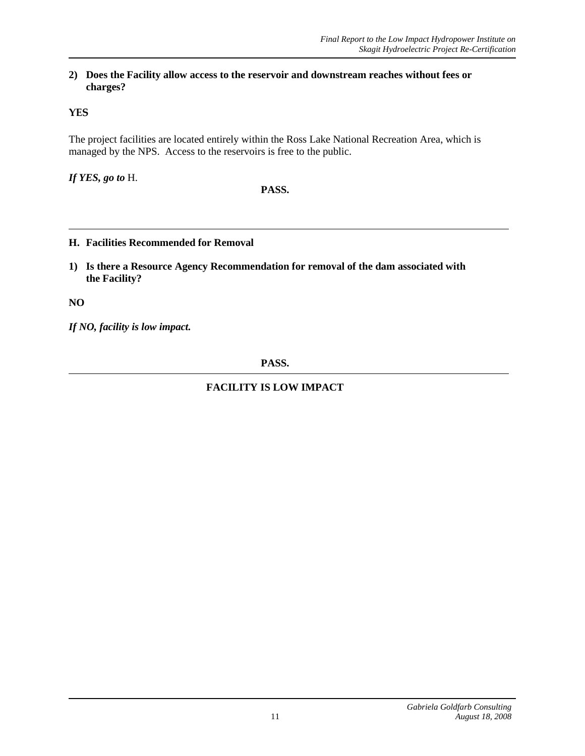#### **2) Does the Facility allow access to the reservoir and downstream reaches without fees or charges?**

## **YES**

The project facilities are located entirely within the Ross Lake National Recreation Area, which is managed by the NPS. Access to the reservoirs is free to the public.

*If YES, go to* H.

### **PASS.**

### **H. Facilities Recommended for Removal**

**1) Is there a Resource Agency Recommendation for removal of the dam associated with the Facility?**

**NO**

*If NO, facility is low impact.*

**PASS.**

## **FACILITY IS LOW IMPACT**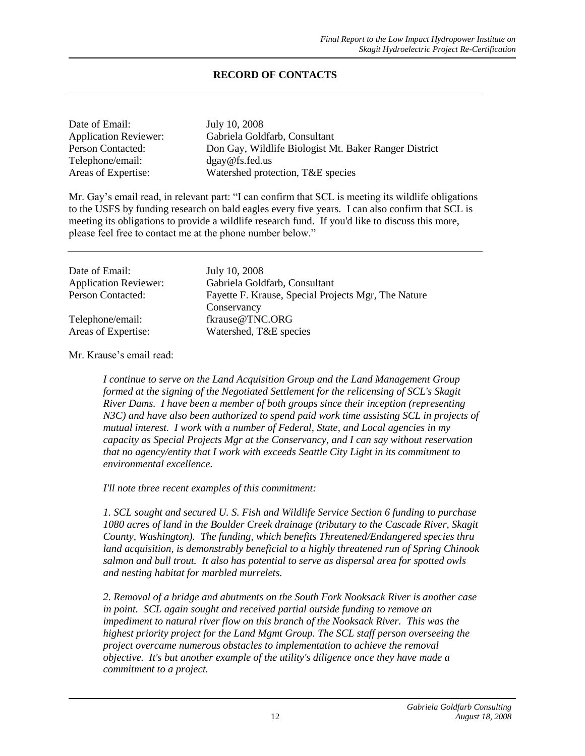### **RECORD OF CONTACTS**

| Date of Email:               | July 10, 2008                                         |
|------------------------------|-------------------------------------------------------|
| <b>Application Reviewer:</b> | Gabriela Goldfarb, Consultant                         |
| Person Contacted:            | Don Gay, Wildlife Biologist Mt. Baker Ranger District |
| Telephone/email:             | dgay@fs.fed.us                                        |
| Areas of Expertise:          | Watershed protection, T&E species                     |

Mr. Gay's email read, in relevant part: "I can confirm that SCL is meeting its wildlife obligations to the USFS by funding research on bald eagles every five years. I can also confirm that SCL is meeting its obligations to provide a wildlife research fund. If you'd like to discuss this more, please feel free to contact me at the phone number below."

| Date of Email:               | July 10, 2008                                       |
|------------------------------|-----------------------------------------------------|
| <b>Application Reviewer:</b> | Gabriela Goldfarb, Consultant                       |
| Person Contacted:            | Fayette F. Krause, Special Projects Mgr, The Nature |
|                              | Conservancy                                         |
| Telephone/email:             | fkrause@TNC.ORG                                     |
| Areas of Expertise:          | Watershed, T&E species                              |

Mr. Krause's email read:

*I continue to serve on the Land Acquisition Group and the Land Management Group formed at the signing of the Negotiated Settlement for the relicensing of SCL's Skagit River Dams. I have been a member of both groups since their inception (representing N3C) and have also been authorized to spend paid work time assisting SCL in projects of mutual interest. I work with a number of Federal, State, and Local agencies in my capacity as Special Projects Mgr at the Conservancy, and I can say without reservation that no agency/entity that I work with exceeds Seattle City Light in its commitment to environmental excellence.*

*I'll note three recent examples of this commitment:*

*1. SCL sought and secured U. S. Fish and Wildlife Service Section 6 funding to purchase 1080 acres of land in the Boulder Creek drainage (tributary to the Cascade River, Skagit County, Washington). The funding, which benefits Threatened/Endangered species thru land acquisition, is demonstrably beneficial to a highly threatened run of Spring Chinook salmon and bull trout. It also has potential to serve as dispersal area for spotted owls and nesting habitat for marbled murrelets.*

*2. Removal of a bridge and abutments on the South Fork Nooksack River is another case in point. SCL again sought and received partial outside funding to remove an impediment to natural river flow on this branch of the Nooksack River. This was the highest priority project for the Land Mgmt Group. The SCL staff person overseeing the project overcame numerous obstacles to implementation to achieve the removal objective. It's but another example of the utility's diligence once they have made a commitment to a project.*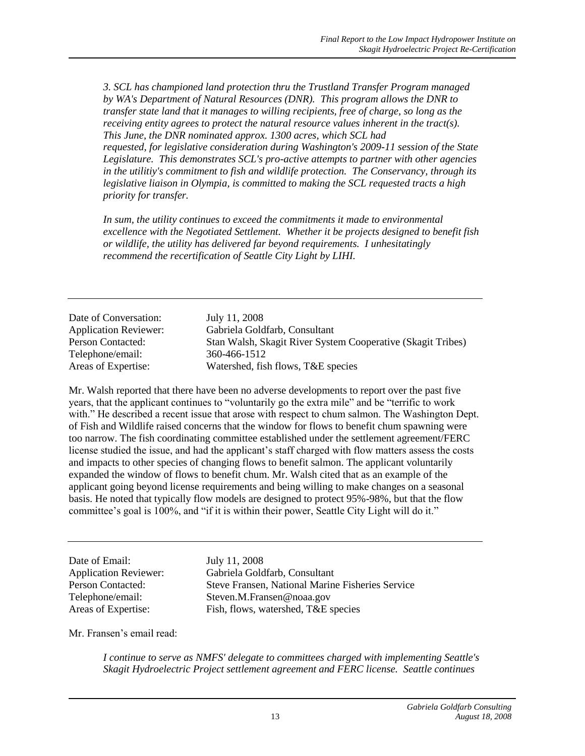*3. SCL has championed land protection thru the Trustland Transfer Program managed by WA's Department of Natural Resources (DNR). This program allows the DNR to transfer state land that it manages to willing recipients, free of charge, so long as the receiving entity agrees to protect the natural resource values inherent in the tract(s). This June, the DNR nominated approx. 1300 acres, which SCL had requested, for legislative consideration during Washington's 2009-11 session of the State Legislature. This demonstrates SCL's pro-active attempts to partner with other agencies in the utilitiy's commitment to fish and wildlife protection. The Conservancy, through its legislative liaison in Olympia, is committed to making the SCL requested tracts a high priority for transfer.*

*In sum, the utility continues to exceed the commitments it made to environmental excellence with the Negotiated Settlement. Whether it be projects designed to benefit fish or wildlife, the utility has delivered far beyond requirements. I unhesitatingly recommend the recertification of Seattle City Light by LIHI.*

| Date of Conversation:        | July 11, 2008                                               |
|------------------------------|-------------------------------------------------------------|
| <b>Application Reviewer:</b> | Gabriela Goldfarb, Consultant                               |
| Person Contacted:            | Stan Walsh, Skagit River System Cooperative (Skagit Tribes) |
| Telephone/email:             | 360-466-1512                                                |
| Areas of Expertise:          | Watershed, fish flows, T&E species                          |

Mr. Walsh reported that there have been no adverse developments to report over the past five years, that the applicant continues to "voluntarily go the extra mile" and be "terrific to work with." He described a recent issue that arose with respect to chum salmon. The Washington Dept. of Fish and Wildlife raised concerns that the window for flows to benefit chum spawning were too narrow. The fish coordinating committee established under the settlement agreement/FERC license studied the issue, and had the applicant's staff charged with flow matters assess the costs and impacts to other species of changing flows to benefit salmon. The applicant voluntarily expanded the window of flows to benefit chum. Mr. Walsh cited that as an example of the applicant going beyond license requirements and being willing to make changes on a seasonal basis. He noted that typically flow models are designed to protect 95%-98%, but that the flow committee's goal is 100%, and "if it is within their power, Seattle City Light will do it."

Date of Email: July 11, 2008

Application Reviewer: Gabriela Goldfarb, Consultant Person Contacted: Steve Fransen, National Marine Fisheries Service Telephone/email: Steven.M.Fransen@noaa.gov Areas of Expertise: Fish, flows, watershed, T&E species

Mr. Fransen's email read:

*I continue to serve as NMFS' delegate to committees charged with implementing Seattle's Skagit Hydroelectric Project settlement agreement and FERC license. Seattle continues*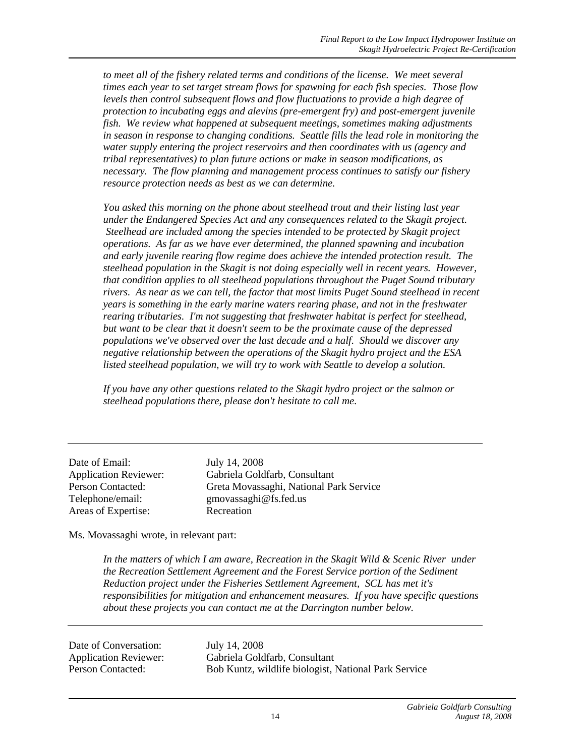*to meet all of the fishery related terms and conditions of the license. We meet several times each year to set target stream flows for spawning for each fish species. Those flow levels then control subsequent flows and flow fluctuations to provide a high degree of protection to incubating eggs and alevins (pre-emergent fry) and post-emergent juvenile fish. We review what happened at subsequent meetings, sometimes making adjustments in season in response to changing conditions. Seattle fills the lead role in monitoring the water supply entering the project reservoirs and then coordinates with us (agency and tribal representatives) to plan future actions or make in season modifications, as necessary. The flow planning and management process continues to satisfy our fishery resource protection needs as best as we can determine.*

*You asked this morning on the phone about steelhead trout and their listing last year under the Endangered Species Act and any consequences related to the Skagit project. Steelhead are included among the species intended to be protected by Skagit project operations. As far as we have ever determined, the planned spawning and incubation and early juvenile rearing flow regime does achieve the intended protection result. The steelhead population in the Skagit is not doing especially well in recent years. However, that condition applies to all steelhead populations throughout the Puget Sound tributary rivers. As near as we can tell, the factor that most limits Puget Sound steelhead in recent years is something in the early marine waters rearing phase, and not in the freshwater rearing tributaries. I'm not suggesting that freshwater habitat is perfect for steelhead, but want to be clear that it doesn't seem to be the proximate cause of the depressed populations we've observed over the last decade and a half. Should we discover any negative relationship between the operations of the Skagit hydro project and the ESA listed steelhead population, we will try to work with Seattle to develop a solution.*

*If you have any other questions related to the Skagit hydro project or the salmon or steelhead populations there, please don't hesitate to call me.*

Date of Email: July 14, 2008 Areas of Expertise: Recreation

Application Reviewer: Gabriela Goldfarb, Consultant Person Contacted: Greta Movassaghi, National Park Service Telephone/email: gmovassaghi@fs.fed.us

Ms. Movassaghi wrote, in relevant part:

In the matters of which I am aware, Recreation in the Skagit Wild & Scenic River under *the Recreation Settlement Agreement and the Forest Service portion of the Sediment Reduction project under the Fisheries Settlement Agreement, SCL has met it's responsibilities for mitigation and enhancement measures. If you have specific questions about these projects you can contact me at the Darrington number below.* 

Date of Conversation: July 14, 2008

Application Reviewer: Gabriela Goldfarb, Consultant Person Contacted: Bob Kuntz, wildlife biologist, National Park Service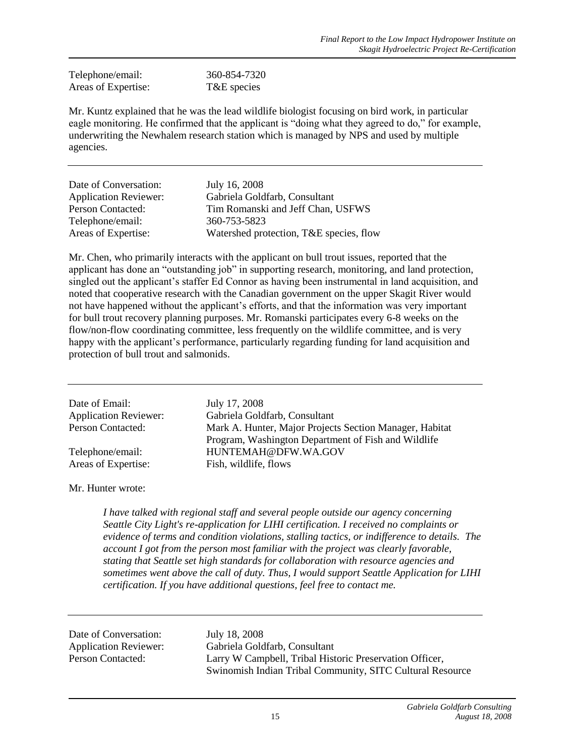| Telephone/email:    | 360-854-7320 |
|---------------------|--------------|
| Areas of Expertise: | T&E species  |

Mr. Kuntz explained that he was the lead wildlife biologist focusing on bird work, in particular eagle monitoring. He confirmed that the applicant is "doing what they agreed to do," for example, underwriting the Newhalem research station which is managed by NPS and used by multiple agencies.

| Date of Conversation:        | July 16, 2008                           |
|------------------------------|-----------------------------------------|
| <b>Application Reviewer:</b> | Gabriela Goldfarb, Consultant           |
| Person Contacted:            | Tim Romanski and Jeff Chan, USFWS       |
| Telephone/email:             | 360-753-5823                            |
| Areas of Expertise:          | Watershed protection, T&E species, flow |

Mr. Chen, who primarily interacts with the applicant on bull trout issues, reported that the applicant has done an "outstanding job" in supporting research, monitoring, and land protection, singled out the applicant's staffer Ed Connor as having been instrumental in land acquisition, and noted that cooperative research with the Canadian government on the upper Skagit River would not have happened without the applicant's efforts, and that the information was very important for bull trout recovery planning purposes. Mr. Romanski participates every 6-8 weeks on the flow/non-flow coordinating committee, less frequently on the wildlife committee, and is very happy with the applicant's performance, particularly regarding funding for land acquisition and protection of bull trout and salmonids.

| Date of Email:<br><b>Application Reviewer:</b> | July 17, 2008<br>Gabriela Goldfarb, Consultant                             |
|------------------------------------------------|----------------------------------------------------------------------------|
| Person Contacted:                              | Mark A. Hunter, Major Projects Section Manager, Habitat                    |
| Telephone/email:                               | Program, Washington Department of Fish and Wildlife<br>HUNTEMAH@DFW.WA.GOV |
| Areas of Expertise:                            | Fish, wildlife, flows                                                      |

Mr. Hunter wrote:

*I have talked with regional staff and several people outside our agency concerning Seattle City Light's re-application for LIHI certification. I received no complaints or evidence of terms and condition violations, stalling tactics, or indifference to details. The account I got from the person most familiar with the project was clearly favorable, stating that Seattle set high standards for collaboration with resource agencies and sometimes went above the call of duty. Thus, I would support Seattle Application for LIHI certification. If you have additional questions, feel free to contact me.*

Date of Conversation: July 18, 2008

Application Reviewer: Gabriela Goldfarb, Consultant Person Contacted: Larry W Campbell, Tribal Historic Preservation Officer, Swinomish Indian Tribal Community, SITC Cultural Resource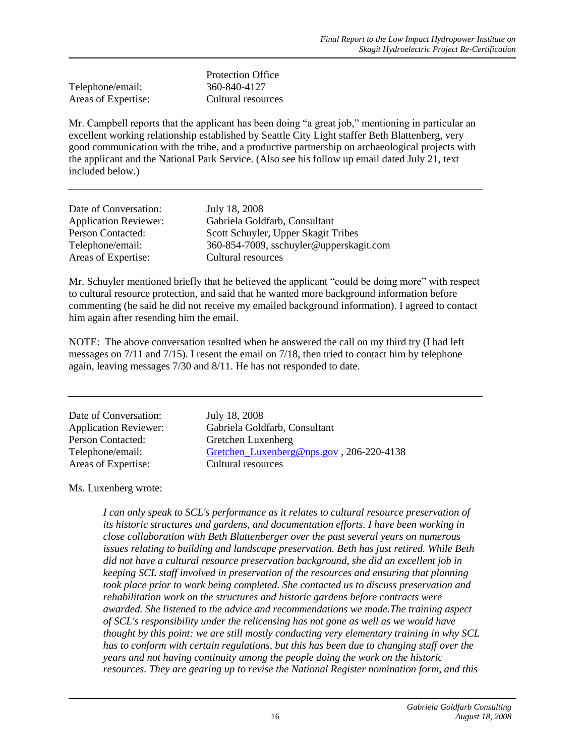|                     | <b>Protection Office</b> |
|---------------------|--------------------------|
| Telephone/email:    | 360-840-4127             |
| Areas of Expertise: | Cultural resources       |

Mr. Campbell reports that the applicant has been doing "a great job," mentioning in particular an excellent working relationship established by Seattle City Light staffer Beth Blattenberg, very good communication with the tribe, and a productive partnership on archaeological projects with the applicant and the National Park Service. (Also see his follow up email dated July 21, text included below.)

| Date of Conversation:        | July 18, 2008                           |
|------------------------------|-----------------------------------------|
| <b>Application Reviewer:</b> | Gabriela Goldfarb, Consultant           |
| Person Contacted:            | Scott Schuyler, Upper Skagit Tribes     |
| Telephone/email:             | 360-854-7009, sschuyler@upperskagit.com |
| Areas of Expertise:          | Cultural resources                      |

Mr. Schuyler mentioned briefly that he believed the applicant "could be doing more" with respect to cultural resource protection, and said that he wanted more background information before commenting (he said he did not receive my emailed background information). I agreed to contact him again after resending him the email.

NOTE: The above conversation resulted when he answered the call on my third try (I had left messages on 7/11 and 7/15). I resent the email on 7/18, then tried to contact him by telephone again, leaving messages 7/30 and 8/11. He has not responded to date.

| Date of Conversation:        | July 18, 2008                            |
|------------------------------|------------------------------------------|
| <b>Application Reviewer:</b> | Gabriela Goldfarb, Consultant            |
| Person Contacted:            | Gretchen Luxenberg                       |
| Telephone/email:             | Gretchen Luxenberg@nps.gov, 206-220-4138 |
| Areas of Expertise:          | Cultural resources                       |

Ms. Luxenberg wrote:

*I can only speak to SCL's performance as it relates to cultural resource preservation of its historic structures and gardens, and documentation efforts. I have been working in close collaboration with Beth Blattenberger over the past several years on numerous issues relating to building and landscape preservation. Beth has just retired. While Beth did not have a cultural resource preservation background, she did an excellent job in keeping SCL staff involved in preservation of the resources and ensuring that planning took place prior to work being completed. She contacted us to discuss preservation and rehabilitation work on the structures and historic gardens before contracts were awarded. She listened to the advice and recommendations we made.The training aspect of SCL's responsibility under the relicensing has not gone as well as we would have thought by this point: we are still mostly conducting very elementary training in why SCL has to conform with certain regulations, but this has been due to changing staff over the years and not having continuity among the people doing the work on the historic resources. They are gearing up to revise the National Register nomination form, and this*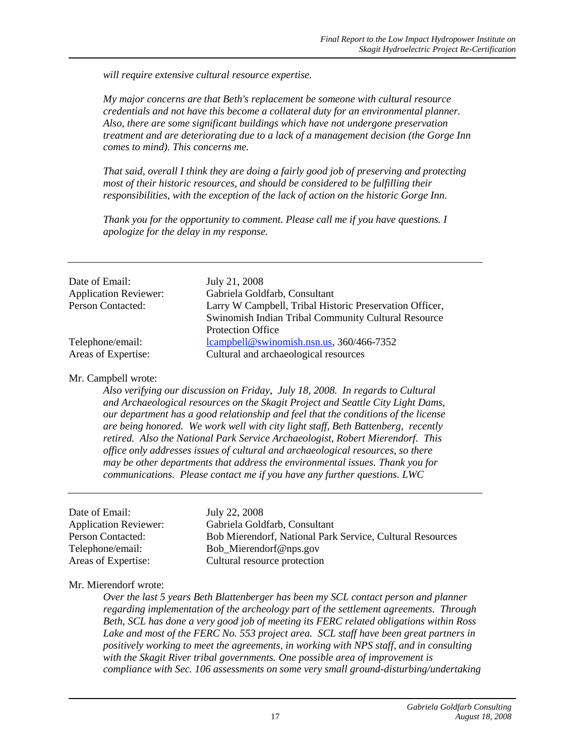*will require extensive cultural resource expertise.*

*My major concerns are that Beth's replacement be someone with cultural resource credentials and not have this become a collateral duty for an environmental planner. Also, there are some significant buildings which have not undergone preservation treatment and are deteriorating due to a lack of a management decision (the Gorge Inn comes to mind). This concerns me.*

*That said, overall I think they are doing a fairly good job of preserving and protecting most of their historic resources, and should be considered to be fulfilling their responsibilities, with the exception of the lack of action on the historic Gorge Inn.*

*Thank you for the opportunity to comment. Please call me if you have questions. I apologize for the delay in my response.*

| Date of Email:               | July 21, 2008                                           |
|------------------------------|---------------------------------------------------------|
| <b>Application Reviewer:</b> | Gabriela Goldfarb, Consultant                           |
| <b>Person Contacted:</b>     | Larry W Campbell, Tribal Historic Preservation Officer, |
|                              | Swinomish Indian Tribal Community Cultural Resource     |
|                              | <b>Protection Office</b>                                |
| Telephone/email:             | lcampbell@swinomish.nsn.us, 360/466-7352                |
| Areas of Expertise:          | Cultural and archaeological resources                   |

Mr. Campbell wrote:

*Also verifying our discussion on Friday, July 18, 2008. In regards to Cultural and Archaeological resources on the Skagit Project and Seattle City Light Dams, our department has a good relationship and feel that the conditions of the license are being honored. We work well with city light staff, Beth Battenberg, recently retired. Also the National Park Service Archaeologist, Robert Mierendorf. This office only addresses issues of cultural and archaeological resources, so there may be other departments that address the environmental issues. Thank you for communications. Please contact me if you have any further questions. LWC*

| Date of Email:               | July 22, 2008                                             |
|------------------------------|-----------------------------------------------------------|
| <b>Application Reviewer:</b> | Gabriela Goldfarb, Consultant                             |
| Person Contacted:            | Bob Mierendorf, National Park Service, Cultural Resources |
| Telephone/email:             | Bob_Mierendorf@nps.gov                                    |
| Areas of Expertise:          | Cultural resource protection                              |

### Mr. Mierendorf wrote:

*Over the last 5 years Beth Blattenberger has been my SCL contact person and planner regarding implementation of the archeology part of the settlement agreements. Through Beth, SCL has done a very good job of meeting its FERC related obligations within Ross Lake and most of the FERC No. 553 project area. SCL staff have been great partners in positively working to meet the agreements, in working with NPS staff, and in consulting with the Skagit River tribal governments. One possible area of improvement is compliance with Sec. 106 assessments on some very small ground-disturbing/undertaking*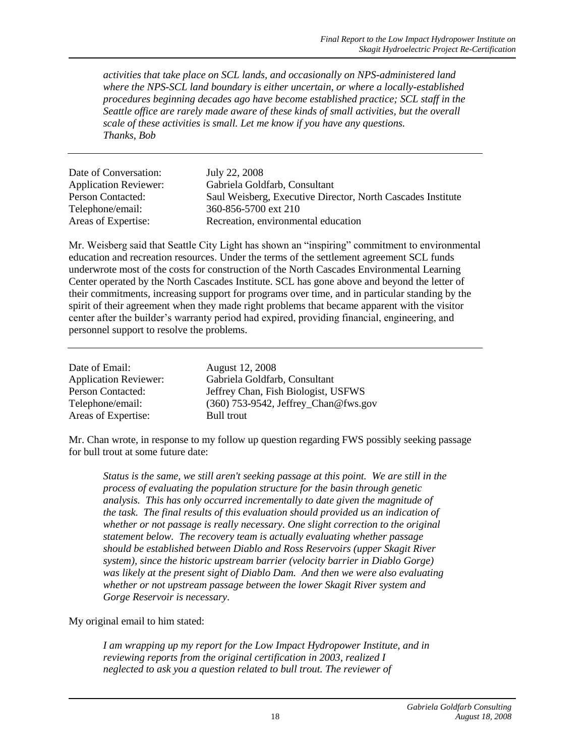*activities that take place on SCL lands, and occasionally on NPS-administered land where the NPS-SCL land boundary is either uncertain, or where a locally-established procedures beginning decades ago have become established practice; SCL staff in the Seattle office are rarely made aware of these kinds of small activities, but the overall scale of these activities is small. Let me know if you have any questions. Thanks, Bob*

| Date of Conversation:        | July 22, 2008                                               |
|------------------------------|-------------------------------------------------------------|
| <b>Application Reviewer:</b> | Gabriela Goldfarb, Consultant                               |
| Person Contacted:            | Saul Weisberg, Executive Director, North Cascades Institute |
| Telephone/email:             | 360-856-5700 ext 210                                        |
| Areas of Expertise:          | Recreation, environmental education                         |

Mr. Weisberg said that Seattle City Light has shown an "inspiring" commitment to environmental education and recreation resources. Under the terms of the settlement agreement SCL funds underwrote most of the costs for construction of the North Cascades Environmental Learning Center operated by the North Cascades Institute. SCL has gone above and beyond the letter of their commitments, increasing support for programs over time, and in particular standing by the spirit of their agreement when they made right problems that became apparent with the visitor center after the builder's warranty period had expired, providing financial, engineering, and personnel support to resolve the problems.

| Date of Email:               | August 12, 2008                      |
|------------------------------|--------------------------------------|
| <b>Application Reviewer:</b> | Gabriela Goldfarb, Consultant        |
| Person Contacted:            | Jeffrey Chan, Fish Biologist, USFWS  |
| Telephone/email:             | (360) 753-9542, Jeffrey_Chan@fws.gov |
| Areas of Expertise:          | Bull trout                           |

Mr. Chan wrote, in response to my follow up question regarding FWS possibly seeking passage for bull trout at some future date:

*Status is the same, we still aren't seeking passage at this point. We are still in the process of evaluating the population structure for the basin through genetic analysis. This has only occurred incrementally to date given the magnitude of the task. The final results of this evaluation should provided us an indication of whether or not passage is really necessary. One slight correction to the original statement below. The recovery team is actually evaluating whether passage should be established between Diablo and Ross Reservoirs (upper Skagit River system), since the historic upstream barrier (velocity barrier in Diablo Gorge) was likely at the present sight of Diablo Dam. And then we were also evaluating whether or not upstream passage between the lower Skagit River system and Gorge Reservoir is necessary.*

### My original email to him stated:

*I am wrapping up my report for the Low Impact Hydropower Institute, and in reviewing reports from the original certification in 2003, realized I neglected to ask you a question related to bull trout. The reviewer of*